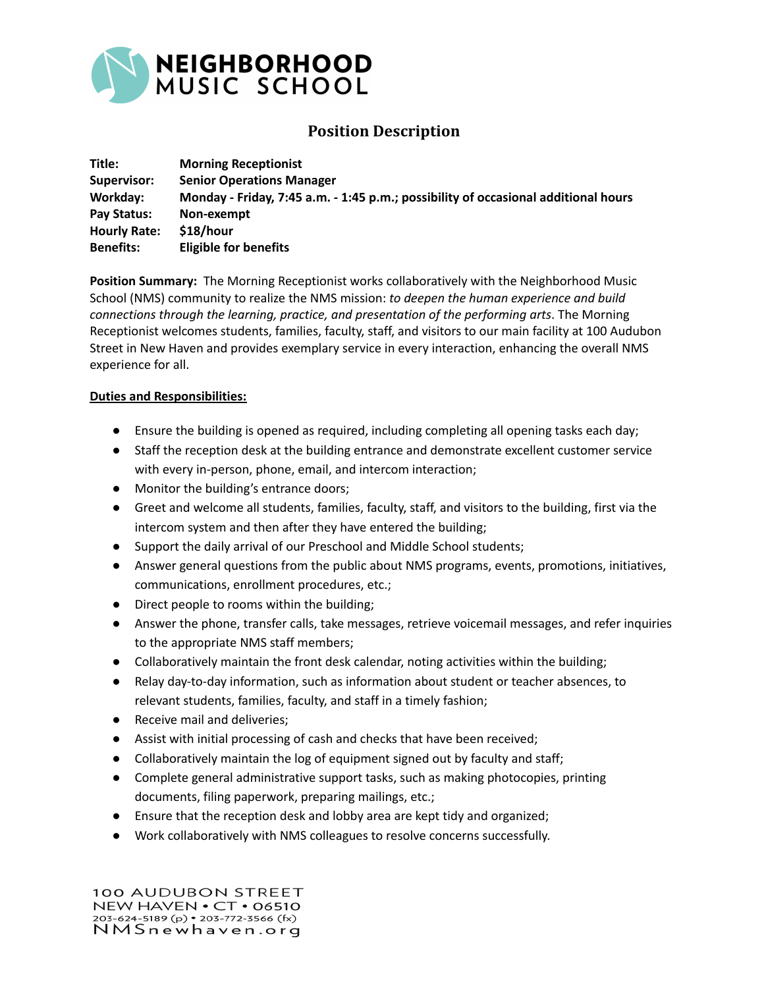

## **Position Description**

| Title:              | <b>Morning Receptionist</b>                                                        |
|---------------------|------------------------------------------------------------------------------------|
| Supervisor:         | <b>Senior Operations Manager</b>                                                   |
| Workday:            | Monday - Friday, 7:45 a.m. - 1:45 p.m.; possibility of occasional additional hours |
| Pay Status:         | Non-exempt                                                                         |
| <b>Hourly Rate:</b> | \$18/hour                                                                          |
| <b>Benefits:</b>    | <b>Eligible for benefits</b>                                                       |

**Position Summary:** The Morning Receptionist works collaboratively with the Neighborhood Music School (NMS) community to realize the NMS mission: *to deepen the human experience and build connections through the learning, practice, and presentation of the performing arts*. The Morning Receptionist welcomes students, families, faculty, staff, and visitors to our main facility at 100 Audubon Street in New Haven and provides exemplary service in every interaction, enhancing the overall NMS experience for all.

## **Duties and Responsibilities:**

- Ensure the building is opened as required, including completing all opening tasks each day;
- Staff the reception desk at the building entrance and demonstrate excellent customer service with every in-person, phone, email, and intercom interaction;
- Monitor the building's entrance doors;
- Greet and welcome all students, families, faculty, staff, and visitors to the building, first via the intercom system and then after they have entered the building;
- Support the daily arrival of our Preschool and Middle School students;
- Answer general questions from the public about NMS programs, events, promotions, initiatives, communications, enrollment procedures, etc.;
- Direct people to rooms within the building;
- Answer the phone, transfer calls, take messages, retrieve voicemail messages, and refer inquiries to the appropriate NMS staff members;
- Collaboratively maintain the front desk calendar, noting activities within the building;
- Relay day-to-day information, such as information about student or teacher absences, to relevant students, families, faculty, and staff in a timely fashion;
- Receive mail and deliveries;
- Assist with initial processing of cash and checks that have been received;
- Collaboratively maintain the log of equipment signed out by faculty and staff;
- Complete general administrative support tasks, such as making photocopies, printing documents, filing paperwork, preparing mailings, etc.;
- Ensure that the reception desk and lobby area are kept tidy and organized;
- Work collaboratively with NMS colleagues to resolve concerns successfully.

100 AUDUBON STREET NEW HAVEN . CT . 06510 203-624-5189 (p) • 203-772-3566 (fx) NMSnewhaven.org